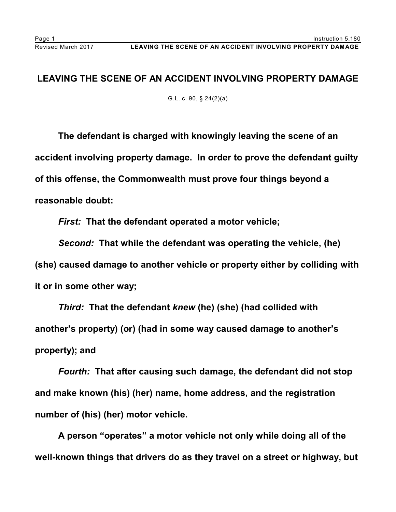## **LEAVING THE SCENE OF AN ACCIDENT INVOLVING PROPERTY DAMAGE**

G.L. c. 90, § 24(2)(a)

**The defendant is charged with knowingly leaving the scene of an accident involving property damage. In order to prove the defendant guilty of this offense, the Commonwealth must prove four things beyond a reasonable doubt:**

*First:* **That the defendant operated a motor vehicle;**

*Second:* **That while the defendant was operating the vehicle, (he) (she) caused damage to another vehicle or property either by colliding with it or in some other way;**

*Third:* **That the defendant** *knew* **(he) (she) (had collided with another's property) (or) (had in some way caused damage to another's property); and**

*Fourth:* **That after causing such damage, the defendant did not stop and make known (his) (her) name, home address, and the registration number of (his) (her) motor vehicle.**

**A person "operates" a motor vehicle not only while doing all of the well-known things that drivers do as they travel on a street or highway, but**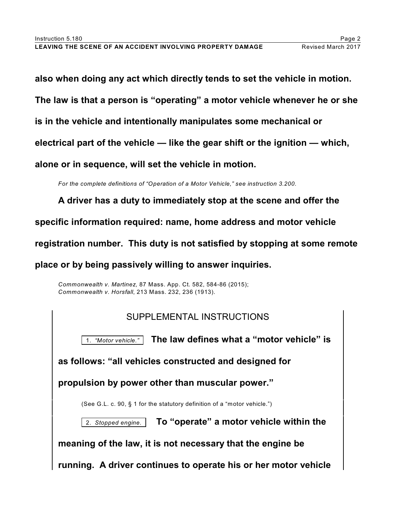**also when doing any act which directly tends to set the vehicle in motion.** 

**The law is that a person is "operating" a motor vehicle whenever he or she**

**is in the vehicle and intentionally manipulates some mechanical or**

**electrical part of the vehicle — like the gear shift or the ignition — which,**

**alone or in sequence, will set the vehicle in motion.**

*For the complete definitions of "Operation of a Motor Vehicle," see instruction 3.200.*

**A driver has a duty to immediately stop at the scene and offer the**

**specific information required: name, home address and motor vehicle**

**registration number. This duty is not satisfied by stopping at some remote**

**place or by being passively willing to answer inquiries.**

*Commonwealth v. Martinez,* 87 Mass. App. Ct. 582, 584-86 (2015); *Commonwealth v. Horsfall*, 213 Mass. 232, 236 (1913).

| SUPPLEMENTAL INSTRUCTIONS                                                |
|--------------------------------------------------------------------------|
| The law defines what a "motor vehicle" is<br>1. "Motor vehicle."         |
| as follows: "all vehicles constructed and designed for                   |
| propulsion by power other than muscular power."                          |
| (See G.L. c. 90, § 1 for the statutory definition of a "motor vehicle.") |
| To "operate" a motor vehicle within the<br>2. Stopped engine.            |
| meaning of the law, it is not necessary that the engine be               |
| running. A driver continues to operate his or her motor vehicle          |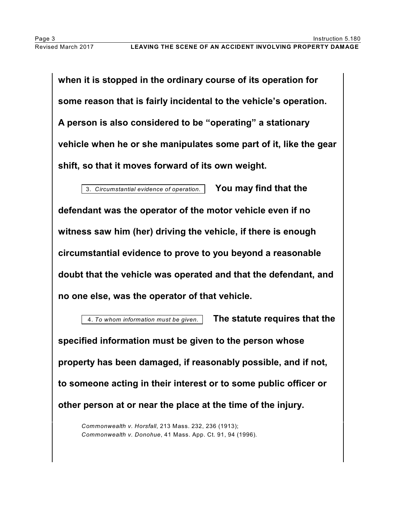**when it is stopped in the ordinary course of its operation for some reason that is fairly incidental to the vehicle's operation. A person is also considered to be "operating" a stationary vehicle when he or she manipulates some part of it, like the gear shift, so that it moves forward of its own weight.**

3. *Circumstantial evidence of operation.* **You may find that the defendant was the operator of the motor vehicle even if no witness saw him (her) driving the vehicle, if there is enough circumstantial evidence to prove to you beyond a reasonable doubt that the vehicle was operated and that the defendant, and no one else, was the operator of that vehicle.** 

 4. *To whom information must be given.* **The statute requires that the specified information must be given to the person whose property has been damaged, if reasonably possible, and if not, to someone acting in their interest or to some public officer or other person at or near the place at the time of the injury.**

*Commonwealth v. Horsfall*, 213 Mass. 232, 236 (1913); *Commonwealth v. Donohue*, 41 Mass. App. Ct. 91, 94 (1996)*.*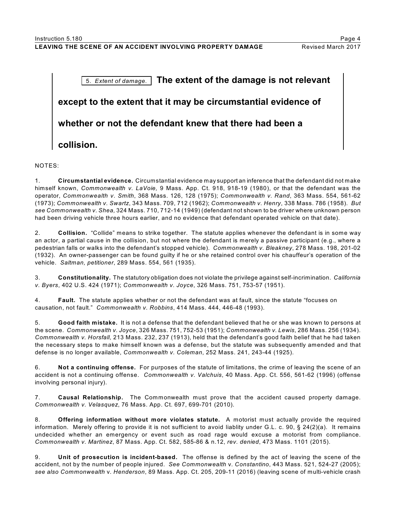## **LEAVING THE SCENE OF AN ACCIDENT INVOLVING PROPERTY DAMAGE Revised March 2017**



## NOTES:

1. **Circumstantial evidence.** Circumstantial evidence may support an inference that the defendant did not make himself known, *Commonwealth v. LaVoie,* 9 Mass. App. Ct. 918, 918-19 (1980), or that the defendant was the operator, *Commonwealth v. Smith*, 368 Mass. 126, 128 (1975); *Commonwealth v. Rand*, 363 Mass. 554, 561-62 (1973); *Commonwealth v. Swartz*, 343 Mass. 709, 712 (1962); *Commonwealth v. Henry*, 338 Mass. 786 (1958). *But see Commonwealth v. Shea,* 324 Mass. 710, 712-14 (1949) (defendant not shown to be driver where unknown person had been driving vehicle three hours earlier, and no evidence that defendant operated vehicle on that date).

2. **Collision.** "Collide" means to strike together. The statute applies whenever the defendant is in some way an actor, a partial cause in the collision, but not where the defendant is merely a passive participant (e.g., where a pedestrian falls or walks into the defendant's stopped vehicle). *Commonwealth v. Bleakney*, 278 Mass. 198, 201-02 (1932). An owner-passenger can be found guilty if he or she retained control over his chauffeur's operation of the vehicle. *Saltman, petitioner*, 289 Mass. 554, 561 (1935).

3. **Constitutionality.** The statutory obligation does not violate the privilege against self-incrimination. *California v. Byers*, 402 U.S. 424 (1971); *Commonwealth v. Joyce*, 326 Mass. 751, 753-57 (1951).

4. **Fault.** The statute applies whether or not the defendant was at fault, since the statute "focuses on causation, not fault." *Commonwealth v. Robbins*, 414 Mass. 444, 446-48 (1993).

5. **Good faith mistake.** It is not a defense that the defendant believed that he or she was known to persons at the scene. *Commonwealth v. Joyce*, 326 Mass. 751, 752-53 (1951); *Commonwealth v. Lewis,* 286 Mass. 256 (1934). *Commonwealth v. Horsfall,* 213 Mass. 232, 237 (1913), held that the defendant's good faith belief that he had taken the necessary steps to make himself known was a defense, but the statute was subsequently amended and that defense is no longer available, *Commonwealth v. Coleman*, 252 Mass. 241, 243-44 (1925).

6. **Not a continuing offense.** For purposes of the statute of limitations, the crime of leaving the scene of an accident is not a continuing offense. *Commonwealth v. Valchuis*, 40 Mass. App. Ct. 556, 561-62 (1996) (offense involving personal injury).

7. **Causal Relationship.** The Commonwealth must prove that the accident caused property damage. *Commonwealth v. Velasquez*, 76 Mass. App. Ct. 697, 699-701 (2010).

8. **Offering information without more violates statute.** A motorist must actually provide the required information. Merely offering to provide it is not sufficient to avoid liablity under G.L. c. 90, § 24(2)(a). It remains undecided whether an emergency or event such as road rage would excuse a motorist from compliance. *Commonwealth v. Martinez*, 87 Mass. App. Ct. 582, 585-86 & n.12, *rev. denied*, 473 Mass. 1101 (2015).

9. **Unit of prosecution is incident-based.** The offense is defined by the act of leaving the scene of the accident, not by the number of people injured. *See Commonwealth* v. *Constantino*, 443 Mass. 521, 524-27 (2005); *see also Commonwealth* v. *Henderson*, 89 Mass. App. Ct. 205, 209-11 (2016) (leaving scene of multi-vehicle crash